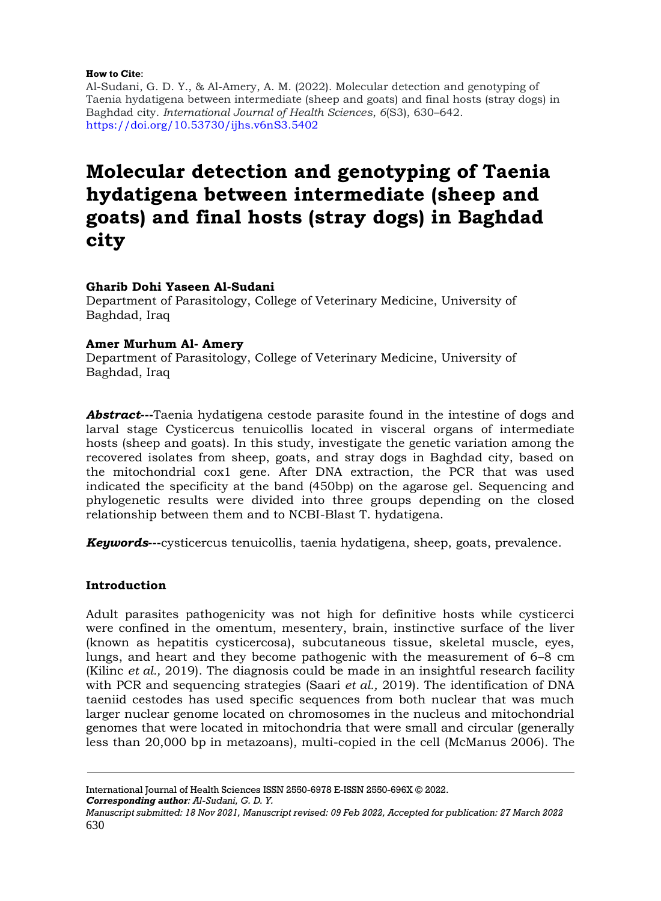#### **How to Cite**:

Al-Sudani, G. D. Y., & Al-Amery, A. M. (2022). Molecular detection and genotyping of Taenia hydatigena between intermediate (sheep and goats) and final hosts (stray dogs) in Baghdad city. *International Journal of Health Sciences*, *6*(S3), 630–642. <https://doi.org/10.53730/ijhs.v6nS3.5402>

# **Molecular detection and genotyping of Taenia hydatigena between intermediate (sheep and goats) and final hosts (stray dogs) in Baghdad city**

## **Gharib Dohi Yaseen Al-Sudani**

Department of Parasitology, College of Veterinary Medicine, University of Baghdad, Iraq

## **Amer Murhum Al- Amery**

Department of Parasitology, College of Veterinary Medicine, University of Baghdad, Iraq

*Abstract***---**Taenia hydatigena cestode parasite found in the intestine of dogs and larval stage Cysticercus tenuicollis located in visceral organs of intermediate hosts (sheep and goats). In this study, investigate the genetic variation among the recovered isolates from sheep, goats, and stray dogs in Baghdad city, based on the mitochondrial cox1 gene. After DNA extraction, the PCR that was used indicated the specificity at the band (450bp) on the agarose gel. Sequencing and phylogenetic results were divided into three groups depending on the closed relationship between them and to NCBI-Blast T. hydatigena.

*Keywords*---cysticercus tenuicollis, taenia hydatigena, sheep, goats, prevalence.

## **Introduction**

Adult parasites pathogenicity was not high for definitive hosts while cysticerci were confined in the omentum, mesentery, brain, instinctive surface of the liver (known as hepatitis cysticercosa), subcutaneous tissue, skeletal muscle, eyes, lungs, and heart and they become pathogenic with the measurement of 6–8 cm (Kilinc *et al.,* 2019). The diagnosis could be made in an insightful research facility with PCR and sequencing strategies (Saari *et al.,* 2019). The identification of DNA taeniid cestodes has used specific sequences from both nuclear that was much larger nuclear genome located on chromosomes in the nucleus and mitochondrial genomes that were located in mitochondria that were small and circular (generally less than 20,000 bp in metazoans), multi-copied in the cell (McManus 2006). The

International Journal of Health Sciences ISSN 2550-6978 E-ISSN 2550-696X © 2022. *Corresponding author: Al-Sudani, G. D. Y.*

*Manuscript submitted: 18 Nov 2021, Manuscript revised: 09 Feb 2022, Accepted for publication: 27 March 2022* 630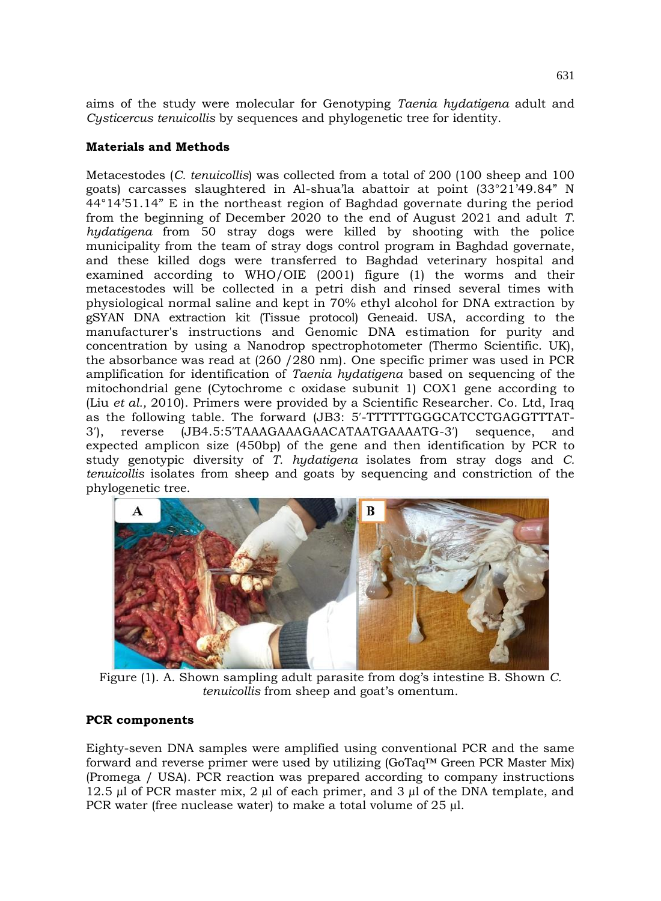631

aims of the study were molecular for Genotyping *Taenia hydatigena* adult and *Cysticercus tenuicollis* by sequences and phylogenetic tree for identity.

#### **Materials and Methods**

Metacestodes (*C. tenuicollis*) was collected from a total of 200 (100 sheep and 100 goats) carcasses slaughtered in Al-shua'la abattoir at point (33°21'49.84" N 44°14'51.14" E in the northeast region of Baghdad governate during the period from the beginning of December 2020 to the end of August 2021 and adult *T. hydatigena* from 50 stray dogs were killed by shooting with the police municipality from the team of stray dogs control program in Baghdad governate, and these killed dogs were transferred to Baghdad veterinary hospital and examined according to WHO/OIE (2001) figure (1) the worms and their metacestodes will be collected in a petri dish and rinsed several times with physiological normal saline and kept in 70% ethyl alcohol for DNA extraction by gSYAN DNA extraction kit (Tissue protocol) Geneaid. USA, according to the manufacturer's instructions and Genomic DNA estimation for purity and concentration by using a Nanodrop spectrophotometer (Thermo Scientific. UK), the absorbance was read at (260 /280 nm). One specific primer was used in PCR amplification for identification of *Taenia hydatigena* based on sequencing of the mitochondrial gene (Cytochrome c oxidase subunit 1) COX1 gene according to (Liu *et al.,* 2010). Primers were provided by a Scientific Researcher. Co. Ltd, Iraq as the following table. The forward (JB3: 5′-TTTTTTGGGCATCCTGAGGTTTAT-3′), reverse (JB4.5:5′TAAAGAAAGAACATAATGAAAATG-3′) sequence, and expected amplicon size (450bp) of the gene and then identification by PCR to study genotypic diversity of *T. hydatigena* isolates from stray dogs and *C. tenuicollis* isolates from sheep and goats by sequencing and constriction of the phylogenetic tree.



Figure (1). A. Shown sampling adult parasite from dog's intestine B. Shown *C. tenuicollis* from sheep and goat's omentum.

#### **PCR components**

Eighty-seven DNA samples were amplified using conventional PCR and the same forward and reverse primer were used by utilizing (GoTaq™ Green PCR Master Mix) (Promega / USA). PCR reaction was prepared according to company instructions 12.5  $\mu$ l of PCR master mix, 2  $\mu$ l of each primer, and 3  $\mu$ l of the DNA template, and PCR water (free nuclease water) to make a total volume of 25 µl.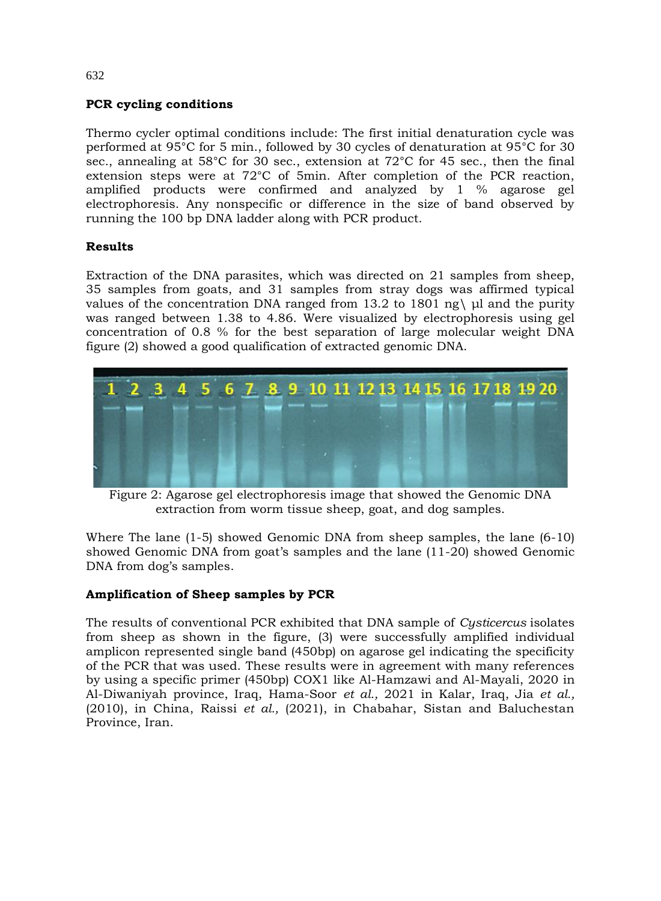# **PCR cycling conditions**

Thermo cycler optimal conditions include: The first initial denaturation cycle was performed at 95°C for 5 min., followed by 30 cycles of denaturation at 95°C for 30 sec., annealing at 58°C for 30 sec., extension at 72°C for 45 sec., then the final extension steps were at 72°C of 5min. After completion of the PCR reaction, amplified products were confirmed and analyzed by 1 % agarose gel electrophoresis. Any nonspecific or difference in the size of band observed by running the 100 bp DNA ladder along with PCR product.

## **Results**

Extraction of the DNA parasites, which was directed on 21 samples from sheep, 35 samples from goats, and 31 samples from stray dogs was affirmed typical values of the concentration DNA ranged from 13.2 to 1801 ng ul and the purity was ranged between 1.38 to 4.86. Were visualized by electrophoresis using gel concentration of 0.8 % for the best separation of large molecular weight DNA figure (2) showed a good qualification of extracted genomic DNA.



Figure 2: Agarose gel electrophoresis image that showed the Genomic DNA extraction from worm tissue sheep, goat, and dog samples.

Where The lane (1-5) showed Genomic DNA from sheep samples, the lane (6-10) showed Genomic DNA from goat's samples and the lane (11-20) showed Genomic DNA from dog's samples.

## **Amplification of Sheep samples by PCR**

The results of conventional PCR exhibited that DNA sample of *Cysticercus* isolates from sheep as shown in the figure, (3) were successfully amplified individual amplicon represented single band (450bp) on agarose gel indicating the specificity of the PCR that was used. These results were in agreement with many references by using a specific primer (450bp) COX1 like Al-Hamzawi and Al-Mayali, 2020 in Al-Diwaniyah province, Iraq, Hama-Soor *et al.,* 2021 in Kalar, Iraq, Jia *et al.,* (2010), in China, Raissi *et al.,* (2021), in Chabahar, Sistan and Baluchestan Province, Iran.

632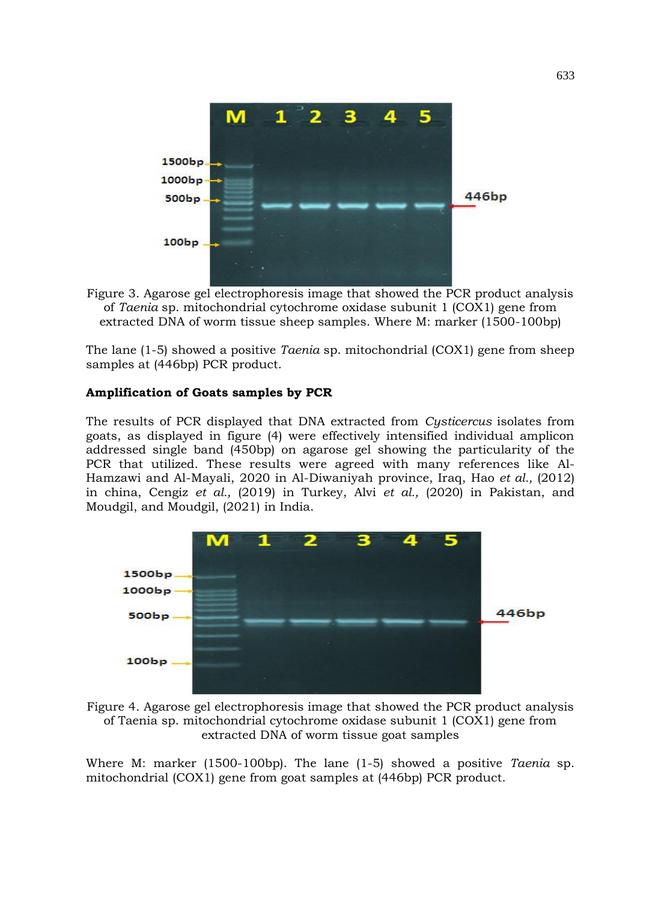![](_page_3_Figure_0.jpeg)

Figure 3. Agarose gel electrophoresis image that showed the PCR product analysis of *Taenia* sp. mitochondrial cytochrome oxidase subunit 1 (COX1) gene from extracted DNA of worm tissue sheep samples. Where M: marker (1500-100bp)

The lane (1-5) showed a positive *Taenia* sp. mitochondrial (COX1) gene from sheep samples at (446bp) PCR product.

## **Amplification of Goats samples by PCR**

The results of PCR displayed that DNA extracted from *Cysticercus* isolates from goats, as displayed in figure (4) were effectively intensified individual amplicon addressed single band (450bp) on agarose gel showing the particularity of the PCR that utilized. These results were agreed with many references like Al-Hamzawi and Al-Mayali, 2020 in Al-Diwaniyah province, Iraq, Hao *et al.,* (2012) in china, Cengiz *et al.,* (2019) in Turkey, Alvi *et al.,* (2020) in Pakistan, and Moudgil, and Moudgil, (2021) in India.

![](_page_3_Figure_5.jpeg)

![](_page_3_Figure_6.jpeg)

Where M: marker (1500-100bp). The lane (1-5) showed a positive *Taenia* sp. mitochondrial (COX1) gene from goat samples at (446bp) PCR product.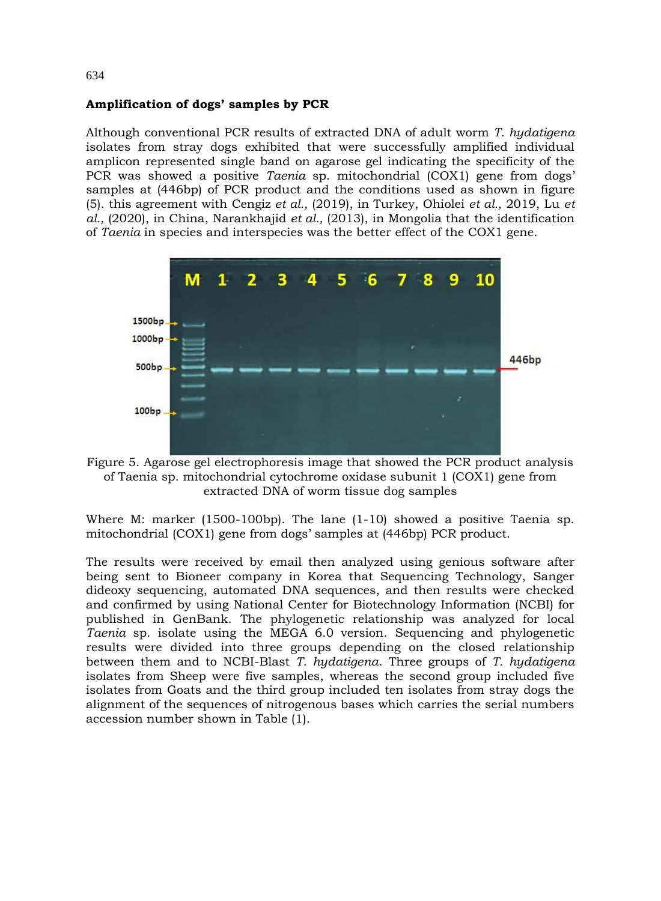## **Amplification of dogs' samples by PCR**

Although conventional PCR results of extracted DNA of adult worm *T. hydatigena* isolates from stray dogs exhibited that were successfully amplified individual amplicon represented single band on agarose gel indicating the specificity of the PCR was showed a positive *Taenia* sp. mitochondrial (COX1) gene from dogs' samples at (446bp) of PCR product and the conditions used as shown in figure (5). this agreement with Cengiz *et al.,* (2019), in Turkey, Ohiolei *et al.,* 2019, Lu *et al.,* (2020), in China, Narankhajid *et al.,* (2013), in Mongolia that the identification of *Taenia* in species and interspecies was the better effect of the COX1 gene.

![](_page_4_Figure_2.jpeg)

Figure 5. Agarose gel electrophoresis image that showed the PCR product analysis of Taenia sp. mitochondrial cytochrome oxidase subunit 1 (COX1) gene from extracted DNA of worm tissue dog samples

Where M: marker (1500-100bp). The lane (1-10) showed a positive Taenia sp. mitochondrial (COX1) gene from dogs' samples at (446bp) PCR product.

The results were received by email then analyzed using genious software after being sent to Bioneer company in Korea that Sequencing Technology, Sanger dideoxy sequencing, automated DNA sequences, and then results were checked and confirmed by using National Center for Biotechnology Information (NCBI) for published in GenBank. The phylogenetic relationship was analyzed for local *Taenia* sp. isolate using the MEGA 6.0 version. Sequencing and phylogenetic results were divided into three groups depending on the closed relationship between them and to NCBI-Blast *T. hydatigena*. Three groups of *T. hydatigena* isolates from Sheep were five samples, whereas the second group included five isolates from Goats and the third group included ten isolates from stray dogs the alignment of the sequences of nitrogenous bases which carries the serial numbers accession number shown in Table (1).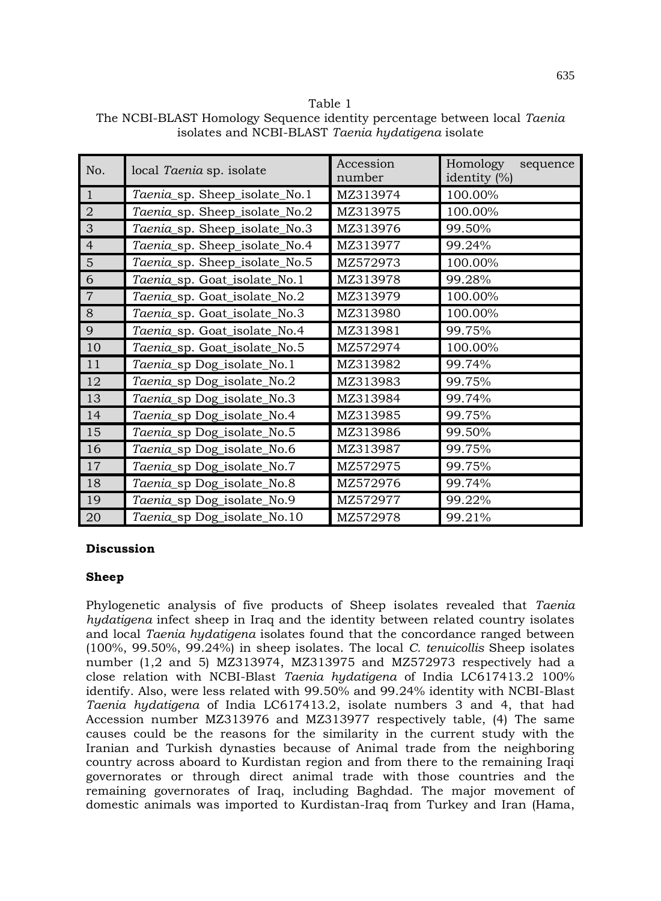#### Table 1

| No.            | local Taenia sp. isolate      | Accession<br>number | Homology<br>sequence<br>identity (%) |  |  |
|----------------|-------------------------------|---------------------|--------------------------------------|--|--|
| $\mathbf{1}$   | Taenia_sp. Sheep_isolate_No.1 | MZ313974            | 100.00%                              |  |  |
| $\overline{2}$ | Taenia_sp. Sheep_isolate_No.2 | MZ313975            | 100.00%                              |  |  |
| 3              | Taenia_sp. Sheep_isolate_No.3 | MZ313976            | 99.50%                               |  |  |
| $\overline{4}$ | Taenia_sp. Sheep_isolate_No.4 | MZ313977            | 99.24%                               |  |  |
| 5              | Taenia_sp. Sheep_isolate_No.5 | MZ572973            | 100.00%                              |  |  |
| 6              | Taenia_sp. Goat_isolate_No.1  | MZ313978            | 99.28%                               |  |  |
| $\overline{7}$ | Taenia_sp. Goat_isolate_No.2  | MZ313979            | 100.00%                              |  |  |
| 8              | Taenia_sp. Goat_isolate_No.3  | MZ313980            | 100.00%                              |  |  |
| 9              | Taenia_sp. Goat_isolate_No.4  | MZ313981            | 99.75%                               |  |  |
| 10             | Taenia_sp. Goat_isolate_No.5  | MZ572974            | 100.00%                              |  |  |
| 11             | Taenia_sp Dog_isolate_No.1    | MZ313982            | 99.74%                               |  |  |
| 12             | Taenia_sp Dog_isolate_No.2    | MZ313983            | 99.75%                               |  |  |
| 13             | Taenia_sp Dog_isolate_No.3    | MZ313984            | 99.74%                               |  |  |
| 14             | Taenia_sp Dog_isolate_No.4    | MZ313985            | 99.75%                               |  |  |
| 15             | Taenia_sp Dog_isolate_No.5    | MZ313986            | 99.50%                               |  |  |
| 16             | Taenia_sp Dog_isolate_No.6    | MZ313987            | 99.75%                               |  |  |
| 17             | Taenia_sp Dog_isolate_No.7    | MZ572975            | 99.75%                               |  |  |
| 18             | Taenia_sp Dog_isolate_No.8    | MZ572976            | 99.74%                               |  |  |
| 19             | Taenia_sp Dog_isolate_No.9    | MZ572977            | 99.22%                               |  |  |
| 20             | Taenia_sp Dog_isolate_No.10   | MZ572978            | 99.21%                               |  |  |

The NCBI-BLAST Homology Sequence identity percentage between local *Taenia*  isolates and NCBI-BLAST *Taenia hydatigena* isolate

## **Discussion**

#### **Sheep**

Phylogenetic analysis of five products of Sheep isolates revealed that *Taenia hydatigena* infect sheep in Iraq and the identity between related country isolates and local *Taenia hydatigena* isolates found that the concordance ranged between (100%, 99.50%, 99.24%) in sheep isolates. The local *C. tenuicollis* Sheep isolates number (1,2 and 5) MZ313974, MZ313975 and MZ572973 respectively had a close relation with NCBI-Blast *Taenia hydatigena* of India LC617413.2 100% identify. Also, were less related with 99.50% and 99.24% identity with NCBI-Blast *Taenia hydatigena* of India LC617413.2, isolate numbers 3 and 4, that had Accession number MZ313976 and MZ313977 respectively table, (4) The same causes could be the reasons for the similarity in the current study with the Iranian and Turkish dynasties because of Animal trade from the neighboring country across aboard to Kurdistan region and from there to the remaining Iraqi governorates or through direct animal trade with those countries and the remaining governorates of Iraq, including Baghdad. The major movement of domestic animals was imported to Kurdistan-Iraq from Turkey and Iran (Hama,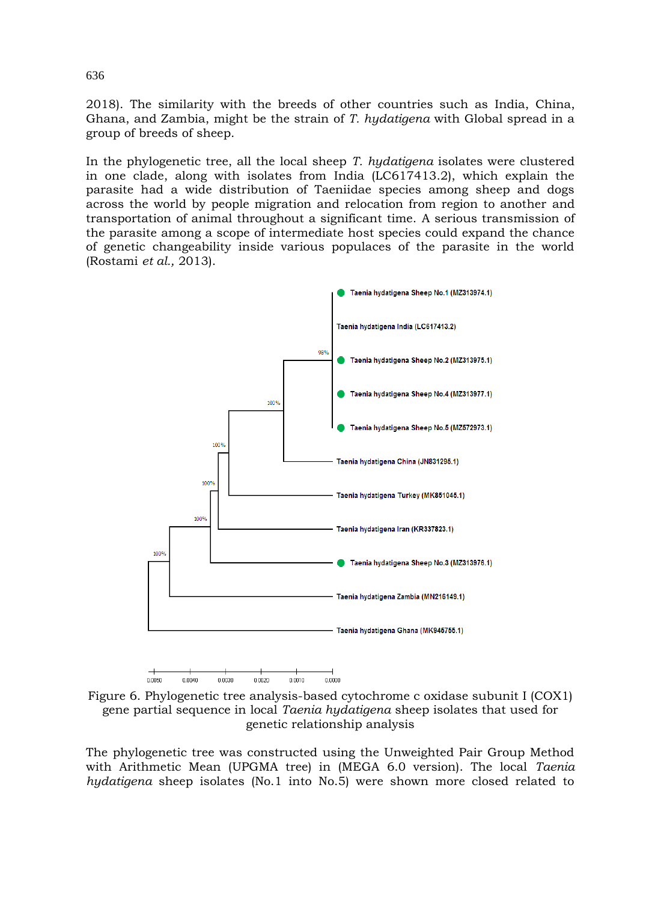2018). The similarity with the breeds of other countries such as India, China, Ghana, and Zambia, might be the strain of *T. hydatigena* with Global spread in a group of breeds of sheep.

In the phylogenetic tree, all the local sheep *T. hydatigena* isolates were clustered in one clade, along with isolates from India (LC617413.2), which explain the parasite had a wide distribution of Taeniidae species among sheep and dogs across the world by people migration and relocation from region to another and transportation of animal throughout a significant time. A serious transmission of the parasite among a scope of intermediate host species could expand the chance of genetic changeability inside various populaces of the parasite in the world (Rostami *et al.,* 2013).

![](_page_6_Figure_2.jpeg)

![](_page_6_Figure_3.jpeg)

![](_page_6_Figure_4.jpeg)

The phylogenetic tree was constructed using the Unweighted Pair Group Method with Arithmetic Mean (UPGMA tree) in (MEGA 6.0 version). The local *Taenia hydatigena* sheep isolates (No.1 into No.5) were shown more closed related to

636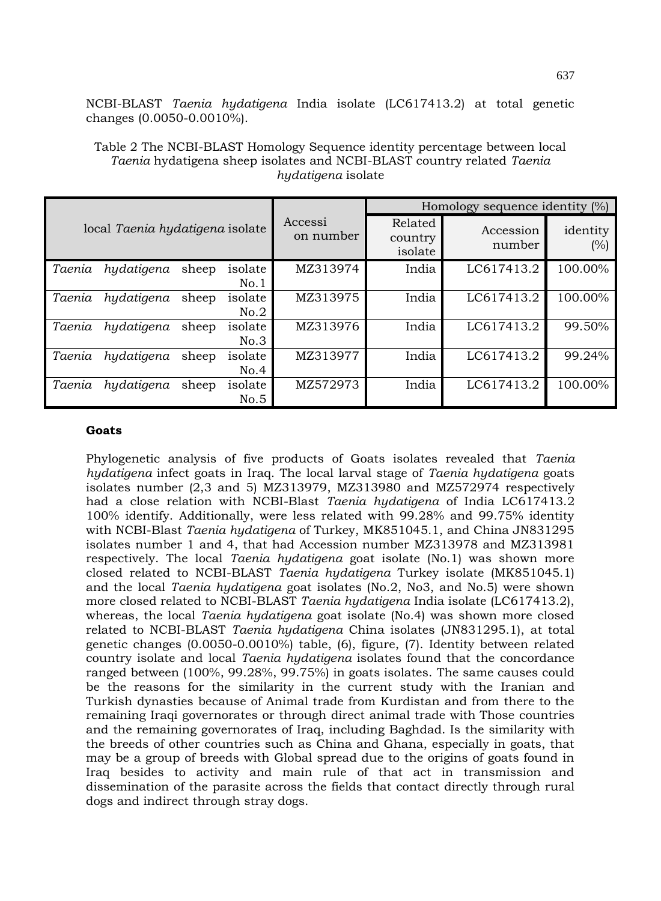NCBI-BLAST *Taenia hydatigena* India isolate (LC617413.2) at total genetic changes (0.0050-0.0010%).

| Table 2 The NCBI-BLAST Homology Sequence identity percentage between local           |
|--------------------------------------------------------------------------------------|
| <i>Taenia</i> hydatigena sheep isolates and NCBI-BLAST country related <i>Taenia</i> |
| hydatigena isolate                                                                   |

| local Taenia hydatigena isolate |            |       |                      | Homology sequence identity (%) |                     |                 |         |
|---------------------------------|------------|-------|----------------------|--------------------------------|---------------------|-----------------|---------|
|                                 |            |       | Accessi<br>on number | Related<br>country<br>isolate  | Accession<br>number | identity<br>(%) |         |
| Taenia                          | hydatigena | sheep | isolate<br>No.1      | MZ313974                       | India               | LC617413.2      | 100.00% |
| Taenia                          | hydatigena | sheep | isolate<br>No.2      | MZ313975                       | India               | LC617413.2      | 100.00% |
| Taenia                          | hydatigena | sheep | isolate<br>No.3      | MZ313976                       | India               | LC617413.2      | 99.50%  |
| Taenia                          | hydatigena | sheep | isolate<br>No.4      | MZ313977                       | India               | LC617413.2      | 99.24%  |
| Taenia                          | hydatigena | sheep | isolate<br>No.5      | MZ572973                       | India               | LC617413.2      | 100.00% |

#### **Goats**

Phylogenetic analysis of five products of Goats isolates revealed that *Taenia hydatigena* infect goats in Iraq. The local larval stage of *Taenia hydatigena* goats isolates number (2,3 and 5) MZ313979, MZ313980 and MZ572974 respectively had a close relation with NCBI-Blast *Taenia hydatigena* of India LC617413.2 100% identify. Additionally, were less related with 99.28% and 99.75% identity with NCBI-Blast *Taenia hydatigena* of Turkey, MK851045.1, and China JN831295 isolates number 1 and 4, that had Accession number MZ313978 and MZ313981 respectively. The local *Taenia hydatigena* goat isolate (No.1) was shown more closed related to NCBI-BLAST *Taenia hydatigena* Turkey isolate (MK851045.1) and the local *Taenia hydatigena* goat isolates (No.2, No3, and No.5) were shown more closed related to NCBI-BLAST *Taenia hydatigena* India isolate (LC617413.2), whereas, the local *Taenia hydatigena* goat isolate (No.4) was shown more closed related to NCBI-BLAST *Taenia hydatigena* China isolates (JN831295.1), at total genetic changes (0.0050-0.0010%) table, (6), figure, (7). Identity between related country isolate and local *Taenia hydatigena* isolates found that the concordance ranged between (100%, 99.28%, 99.75%) in goats isolates. The same causes could be the reasons for the similarity in the current study with the Iranian and Turkish dynasties because of Animal trade from Kurdistan and from there to the remaining Iraqi governorates or through direct animal trade with Those countries and the remaining governorates of Iraq, including Baghdad. Is the similarity with the breeds of other countries such as China and Ghana, especially in goats, that may be a group of breeds with Global spread due to the origins of goats found in Iraq besides to activity and main rule of that act in transmission and dissemination of the parasite across the fields that contact directly through rural dogs and indirect through stray dogs.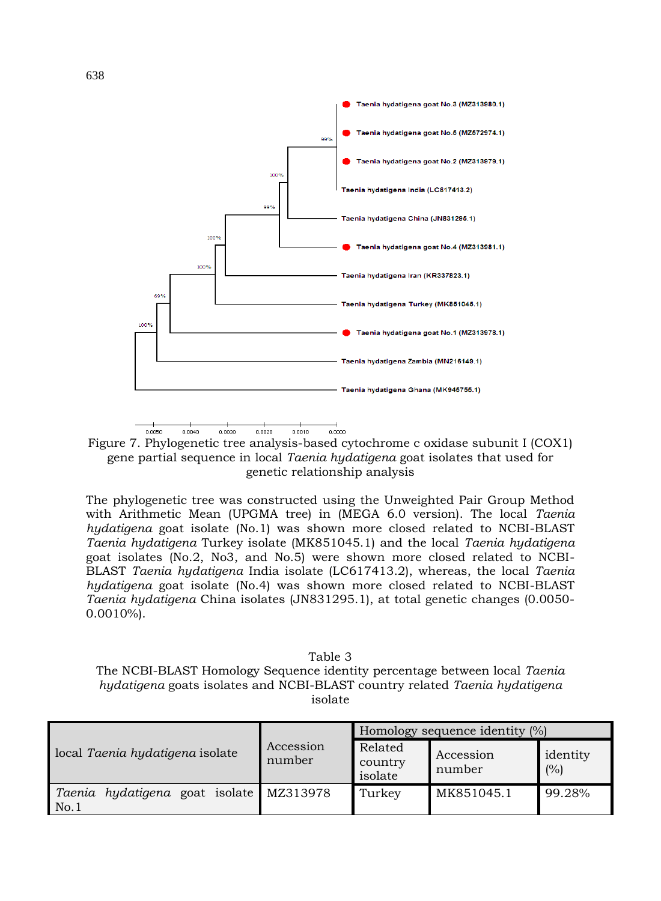![](_page_8_Figure_0.jpeg)

Figure 7. Phylogenetic tree analysis-based cytochrome c oxidase subunit I (COX1) gene partial sequence in local *Taenia hydatigena* goat isolates that used for genetic relationship analysis

The phylogenetic tree was constructed using the Unweighted Pair Group Method with Arithmetic Mean (UPGMA tree) in (MEGA 6.0 version). The local *Taenia hydatigena* goat isolate (No.1) was shown more closed related to NCBI-BLAST *Taenia hydatigena* Turkey isolate (MK851045.1) and the local *Taenia hydatigena* goat isolates (No.2, No3, and No.5) were shown more closed related to NCBI-BLAST *Taenia hydatigena* India isolate (LC617413.2), whereas, the local *Taenia hydatigena* goat isolate (No.4) was shown more closed related to NCBI-BLAST *Taenia hydatigena* China isolates (JN831295.1), at total genetic changes (0.0050- 0.0010%).

Table 3 The NCBI-BLAST Homology Sequence identity percentage between local *Taenia hydatigena* goats isolates and NCBI-BLAST country related *Taenia hydatigena* isolate

|                                                    | Accession<br>number | Homology sequence identity (%) |                     |                 |
|----------------------------------------------------|---------------------|--------------------------------|---------------------|-----------------|
| local Taenia hydatigena isolate                    |                     | Related<br>country<br>isolate  | Accession<br>number | identity<br>(%) |
| hydatigena goat isolate MZ313978<br>Taenia<br>No.1 |                     | Turkey                         | MK851045.1          | 99.28%          |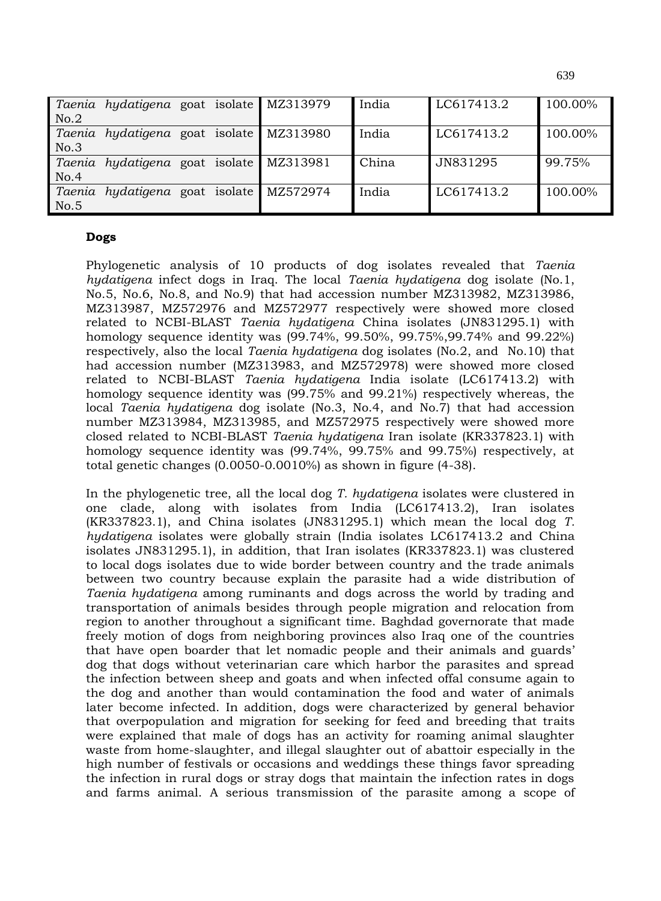|        | Taenia hydatigena goat isolate MZ313979 |  |                                  | India | LC617413.2 | 100.00% |
|--------|-----------------------------------------|--|----------------------------------|-------|------------|---------|
| No.2   |                                         |  |                                  |       |            |         |
| Taenia |                                         |  | hydatigena goat isolate MZ313980 | India | LC617413.2 | 100.00% |
| No.3   |                                         |  |                                  |       |            |         |
| Taenia | hydatigena goat isolate MZ313981        |  |                                  | China | JN831295   | 99.75%  |
| No.4   |                                         |  |                                  |       |            |         |
| Taenia | hydatigena goat isolate                 |  | MZ572974                         | India | LC617413.2 | 100.00% |
| No.5   |                                         |  |                                  |       |            |         |

#### **Dogs**

Phylogenetic analysis of 10 products of dog isolates revealed that *Taenia hydatigena* infect dogs in Iraq. The local *Taenia hydatigena* dog isolate (No.1, No.5, No.6, No.8, and No.9) that had accession number MZ313982, MZ313986, MZ313987, MZ572976 and MZ572977 respectively were showed more closed related to NCBI-BLAST *Taenia hydatigena* China isolates (JN831295.1) with homology sequence identity was (99.74%, 99.50%, 99.75%,99.74% and 99.22%) respectively, also the local *Taenia hydatigena* dog isolates (No.2, and No.10) that had accession number (MZ313983, and MZ572978) were showed more closed related to NCBI-BLAST *Taenia hydatigena* India isolate (LC617413.2) with homology sequence identity was (99.75% and 99.21%) respectively whereas, the local *Taenia hydatigena* dog isolate (No.3, No.4, and No.7) that had accession number MZ313984, MZ313985, and MZ572975 respectively were showed more closed related to NCBI-BLAST *Taenia hydatigena* Iran isolate (KR337823.1) with homology sequence identity was (99.74%, 99.75% and 99.75%) respectively, at total genetic changes (0.0050-0.0010%) as shown in figure (4-38).

In the phylogenetic tree, all the local dog *T. hydatigena* isolates were clustered in one clade, along with isolates from India (LC617413.2), Iran isolates (KR337823.1), and China isolates (JN831295.1) which mean the local dog *T. hydatigena* isolates were globally strain (India isolates LC617413.2 and China isolates JN831295.1), in addition, that Iran isolates (KR337823.1) was clustered to local dogs isolates due to wide border between country and the trade animals between two country because explain the parasite had a wide distribution of *Taenia hydatigena* among ruminants and dogs across the world by trading and transportation of animals besides through people migration and relocation from region to another throughout a significant time. Baghdad governorate that made freely motion of dogs from neighboring provinces also Iraq one of the countries that have open boarder that let nomadic people and their animals and guards' dog that dogs without veterinarian care which harbor the parasites and spread the infection between sheep and goats and when infected offal consume again to the dog and another than would contamination the food and water of animals later become infected. In addition, dogs were characterized by general behavior that overpopulation and migration for seeking for feed and breeding that traits were explained that male of dogs has an activity for roaming animal slaughter waste from home-slaughter, and illegal slaughter out of abattoir especially in the high number of festivals or occasions and weddings these things favor spreading the infection in rural dogs or stray dogs that maintain the infection rates in dogs and farms animal. A serious transmission of the parasite among a scope of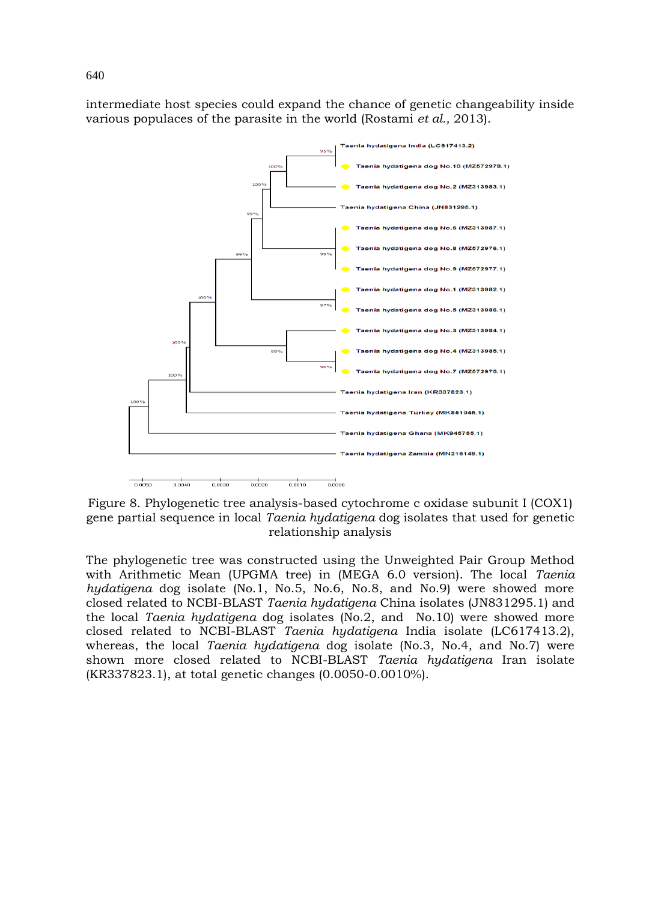intermediate host species could expand the chance of genetic changeability inside various populaces of the parasite in the world (Rostami *et al.,* 2013).

![](_page_10_Figure_1.jpeg)

Figure 8. Phylogenetic tree analysis-based cytochrome c oxidase subunit I (COX1) gene partial sequence in local *Taenia hydatigena* dog isolates that used for genetic relationship analysis

The phylogenetic tree was constructed using the Unweighted Pair Group Method with Arithmetic Mean (UPGMA tree) in (MEGA 6.0 version). The local *Taenia hydatigena* dog isolate (No.1, No.5, No.6, No.8, and No.9) were showed more closed related to NCBI-BLAST *Taenia hydatigena* China isolates (JN831295.1) and the local *Taenia hydatigena* dog isolates (No.2, and No.10) were showed more closed related to NCBI-BLAST *Taenia hydatigena* India isolate (LC617413.2), whereas, the local *Taenia hydatigena* dog isolate (No.3, No.4, and No.7) were shown more closed related to NCBI-BLAST *Taenia hydatigena* Iran isolate (KR337823.1), at total genetic changes (0.0050-0.0010%).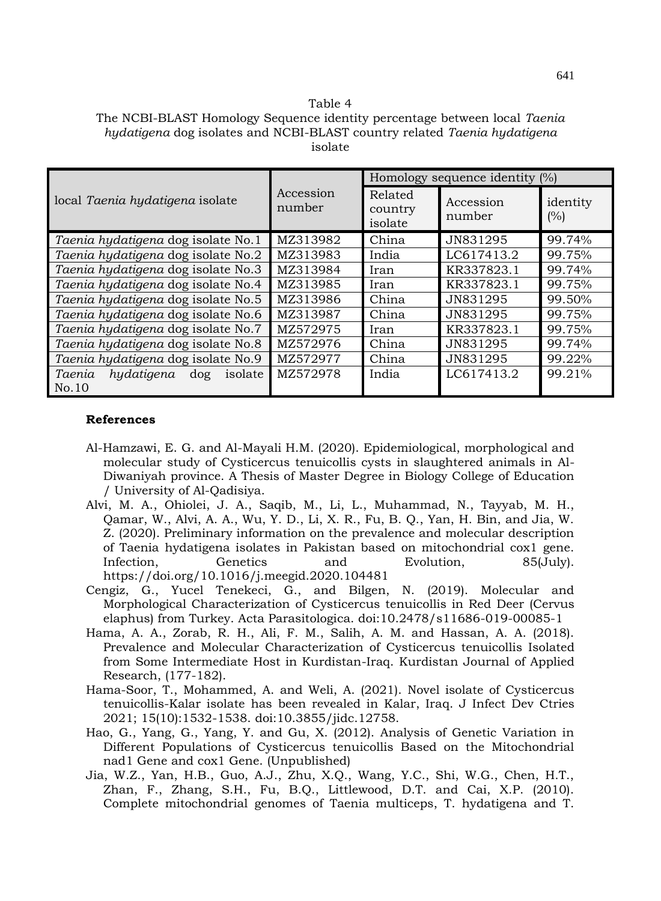## Table 4 The NCBI-BLAST Homology Sequence identity percentage between local *Taenia hydatigena* dog isolates and NCBI-BLAST country related *Taenia hydatigena* isolate

|                                        | Accession<br>number | Homology sequence identity $(\%)$ |                     |                    |
|----------------------------------------|---------------------|-----------------------------------|---------------------|--------------------|
| local Taenia hydatigena isolate        |                     | Related<br>country<br>isolate     | Accession<br>number | identity<br>$(\%)$ |
| Taenia hydatigena dog isolate No.1     | MZ313982            | China                             | JN831295            | 99.74%             |
| Taenia hydatigena dog isolate No.2     | MZ313983            | India                             | LC617413.2          | 99.75%             |
| Taenia hydatigena dog isolate No.3     | MZ313984            | Iran                              | KR337823.1          | 99.74%             |
| Taenia hydatigena dog isolate No.4     | MZ313985            | Iran                              | KR337823.1          | 99.75%             |
| Taenia hydatigena dog isolate No.5     | MZ313986            | China                             | JN831295            | 99.50%             |
| Taenia hydatigena dog isolate No.6     | MZ313987            | China                             | JN831295            | 99.75%             |
| Taenia hydatigena dog isolate No.7     | MZ572975            | Iran                              | KR337823.1          | 99.75%             |
| Taenia hydatigena dog isolate No.8     | MZ572976            | China                             | JN831295            | 99.74%             |
| Taenia hydatigena dog isolate No.9     | MZ572977            | China                             | JN831295            | 99.22%             |
| hydatigena<br>dog<br>Taenia<br>isolate | MZ572978            | India                             | LC617413.2          | 99.21%             |
| No.10                                  |                     |                                   |                     |                    |

#### **References**

- Al-Hamzawi, E. G. and Al-Mayali H.M. (2020). Epidemiological, morphological and molecular study of Cysticercus tenuicollis cysts in slaughtered animals in Al-Diwaniyah province. A Thesis of Master Degree in Biology College of Education / University of Al-Qadisiya.
- Alvi, M. A., Ohiolei, J. A., Saqib, M., Li, L., Muhammad, N., Tayyab, M. H., Qamar, W., Alvi, A. A., Wu, Y. D., Li, X. R., Fu, B. Q., Yan, H. Bin, and Jia, W. Z. (2020). Preliminary information on the prevalence and molecular description of Taenia hydatigena isolates in Pakistan based on mitochondrial cox1 gene. Infection, Genetics and Evolution, 85(July). https://doi.org/10.1016/j.meegid.2020.104481
- Cengiz, G., Yucel Tenekeci, G., and Bilgen, N. (2019). Molecular and Morphological Characterization of Cysticercus tenuicollis in Red Deer (Cervus elaphus) from Turkey. Acta Parasitologica. doi:10.2478/s11686-019-00085-1
- Hama, A. A., Zorab, R. H., Ali, F. M., Salih, A. M. and Hassan, A. A. (2018). Prevalence and Molecular Characterization of Cysticercus tenuicollis Isolated from Some Intermediate Host in Kurdistan-Iraq. Kurdistan Journal of Applied Research, (177-182).
- Hama-Soor, T., Mohammed, A. and Weli, A. (2021). Novel isolate of Cysticercus tenuicollis-Kalar isolate has been revealed in Kalar, Iraq. J Infect Dev Ctries 2021; 15(10):1532-1538. doi:10.3855/jidc.12758.
- Hao, G., Yang, G., Yang, Y. and Gu, X. (2012). Analysis of Genetic Variation in Different Populations of Cysticercus tenuicollis Based on the Mitochondrial nad1 Gene and cox1 Gene. (Unpublished)
- Jia, W.Z., Yan, H.B., Guo, A.J., Zhu, X.Q., Wang, Y.C., Shi, W.G., Chen, H.T., Zhan, F., Zhang, S.H., Fu, B.Q., Littlewood, D.T. and Cai, X.P. (2010). Complete mitochondrial genomes of Taenia multiceps, T. hydatigena and T.